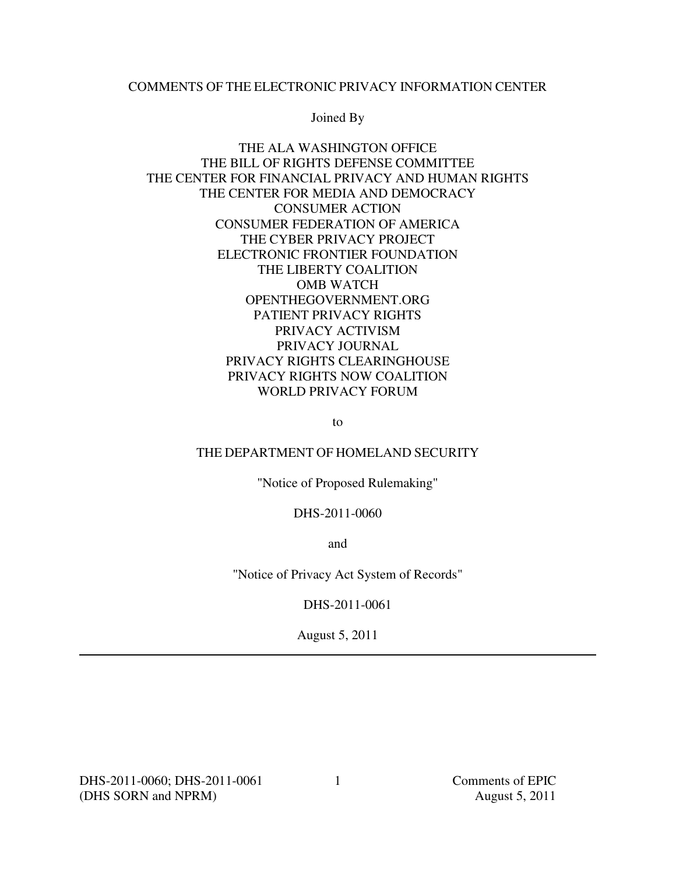### COMMENTS OF THE ELECTRONIC PRIVACY INFORMATION CENTER

Joined By

## THE ALA WASHINGTON OFFICE THE BILL OF RIGHTS DEFENSE COMMITTEE THE CENTER FOR FINANCIAL PRIVACY AND HUMAN RIGHTS THE CENTER FOR MEDIA AND DEMOCRACY CONSUMER ACTION CONSUMER FEDERATION OF AMERICA THE CYBER PRIVACY PROJECT ELECTRONIC FRONTIER FOUNDATION THE LIBERTY COALITION OMB WATCH OPENTHEGOVERNMENT.ORG PATIENT PRIVACY RIGHTS PRIVACY ACTIVISM PRIVACY JOURNAL PRIVACY RIGHTS CLEARINGHOUSE PRIVACY RIGHTS NOW COALITION WORLD PRIVACY FORUM

to

### THE DEPARTMENT OF HOMELAND SECURITY

"Notice of Proposed Rulemaking"

DHS-2011-0060

and

"Notice of Privacy Act System of Records"

DHS-2011-0061

August 5, 2011

DHS-2011-0060; DHS-2011-0061 Comments of EPIC (DHS SORN and NPRM) August 5, 2011

1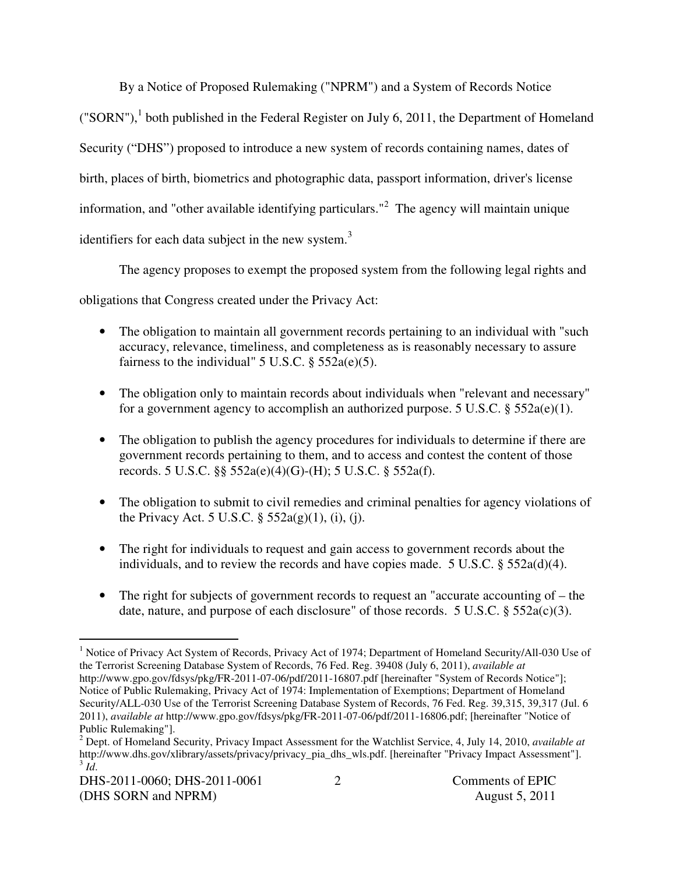By a Notice of Proposed Rulemaking ("NPRM") and a System of Records Notice ("SORN"),<sup>1</sup> both published in the Federal Register on July 6, 2011, the Department of Homeland Security ("DHS") proposed to introduce a new system of records containing names, dates of birth, places of birth, biometrics and photographic data, passport information, driver's license information, and "other available identifying particulars."<sup>2</sup> The agency will maintain unique identifiers for each data subject in the new system.<sup>3</sup>

The agency proposes to exempt the proposed system from the following legal rights and

obligations that Congress created under the Privacy Act:

- The obligation to maintain all government records pertaining to an individual with "such" accuracy, relevance, timeliness, and completeness as is reasonably necessary to assure fairness to the individual"  $5$  U.S.C.  $\S$   $552a(e)(5)$ .
- The obligation only to maintain records about individuals when "relevant and necessary" for a government agency to accomplish an authorized purpose. 5 U.S.C.  $\S$  552a(e)(1).
- The obligation to publish the agency procedures for individuals to determine if there are government records pertaining to them, and to access and contest the content of those records. 5 U.S.C. §§ 552a(e)(4)(G)-(H); 5 U.S.C. § 552a(f).
- The obligation to submit to civil remedies and criminal penalties for agency violations of the Privacy Act. 5 U.S.C.  $\S$  552a(g)(1), (i), (j).
- The right for individuals to request and gain access to government records about the individuals, and to review the records and have copies made. 5 U.S.C. § 552a(d)(4).
- The right for subjects of government records to request an "accurate accounting of the date, nature, and purpose of each disclosure" of those records. 5 U.S.C. § 552a(c)(3).

 1 Notice of Privacy Act System of Records, Privacy Act of 1974; Department of Homeland Security/All-030 Use of the Terrorist Screening Database System of Records, 76 Fed. Reg. 39408 (July 6, 2011), *available at*  http://www.gpo.gov/fdsys/pkg/FR-2011-07-06/pdf/2011-16807.pdf [hereinafter "System of Records Notice"]; Notice of Public Rulemaking, Privacy Act of 1974: Implementation of Exemptions; Department of Homeland Security/ALL-030 Use of the Terrorist Screening Database System of Records, 76 Fed. Reg. 39,315, 39,317 (Jul. 6 2011), *available at* http://www.gpo.gov/fdsys/pkg/FR-2011-07-06/pdf/2011-16806.pdf; [hereinafter "Notice of Public Rulemaking"].

<sup>2</sup> Dept. of Homeland Security, Privacy Impact Assessment for the Watchlist Service, 4, July 14, 2010, *available at*  http://www.dhs.gov/xlibrary/assets/privacy/privacy\_pia\_dhs\_wls.pdf. [hereinafter "Privacy Impact Assessment"].  $\overline{d}$ .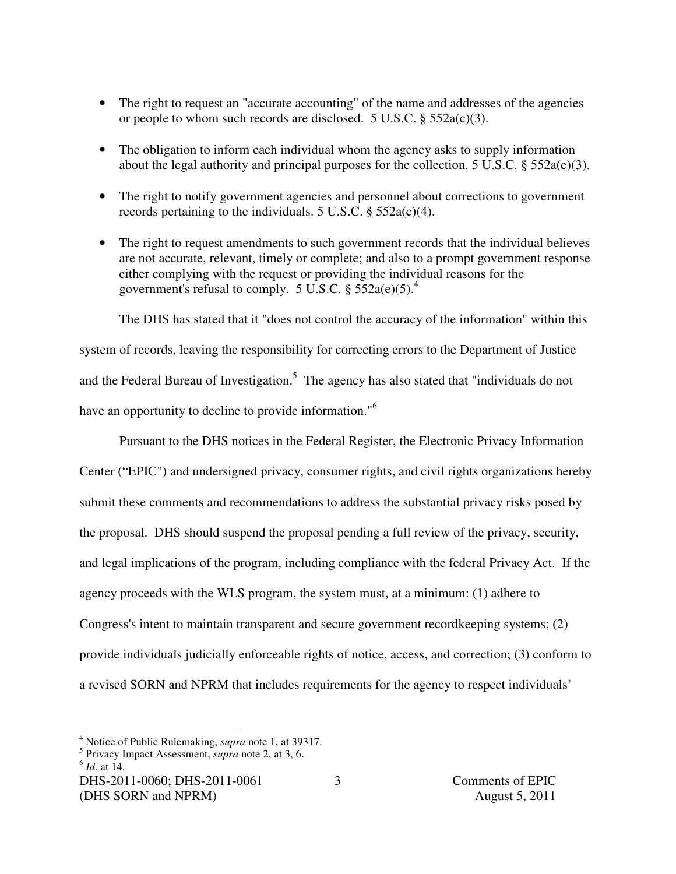- The right to request an "accurate accounting" of the name and addresses of the agencies or people to whom such records are disclosed. 5 U.S.C. § 552a(c)(3).
- The obligation to inform each individual whom the agency asks to supply information about the legal authority and principal purposes for the collection. 5 U.S.C. § 552a(e)(3).
- The right to notify government agencies and personnel about corrections to government records pertaining to the individuals. 5 U.S.C.  $\S$  552a(c)(4).
- The right to request amendments to such government records that the individual believes are not accurate, relevant, timely or complete; and also to a prompt government response either complying with the request or providing the individual reasons for the government's refusal to comply. 5 U.S.C.  $\S 552a(e)(5)^4$ .

The DHS has stated that it "does not control the accuracy of the information" within this system of records, leaving the responsibility for correcting errors to the Department of Justice and the Federal Bureau of Investigation.<sup>5</sup> The agency has also stated that "individuals do not have an opportunity to decline to provide information."<sup>6</sup>

Pursuant to the DHS notices in the Federal Register, the Electronic Privacy Information Center ("EPIC") and undersigned privacy, consumer rights, and civil rights organizations hereby submit these comments and recommendations to address the substantial privacy risks posed by the proposal. DHS should suspend the proposal pending a full review of the privacy, security, and legal implications of the program, including compliance with the federal Privacy Act. If the agency proceeds with the WLS program, the system must, at a minimum: (1) adhere to Congress's intent to maintain transparent and secure government recordkeeping systems; (2) provide individuals judicially enforceable rights of notice, access, and correction; (3) conform to a revised SORN and NPRM that includes requirements for the agency to respect individuals'

 4 Notice of Public Rulemaking, *supra* note 1, at 39317.

<sup>5</sup> Privacy Impact Assessment, *supra* note 2, at 3, 6.

<sup>6</sup> *Id*. at 14.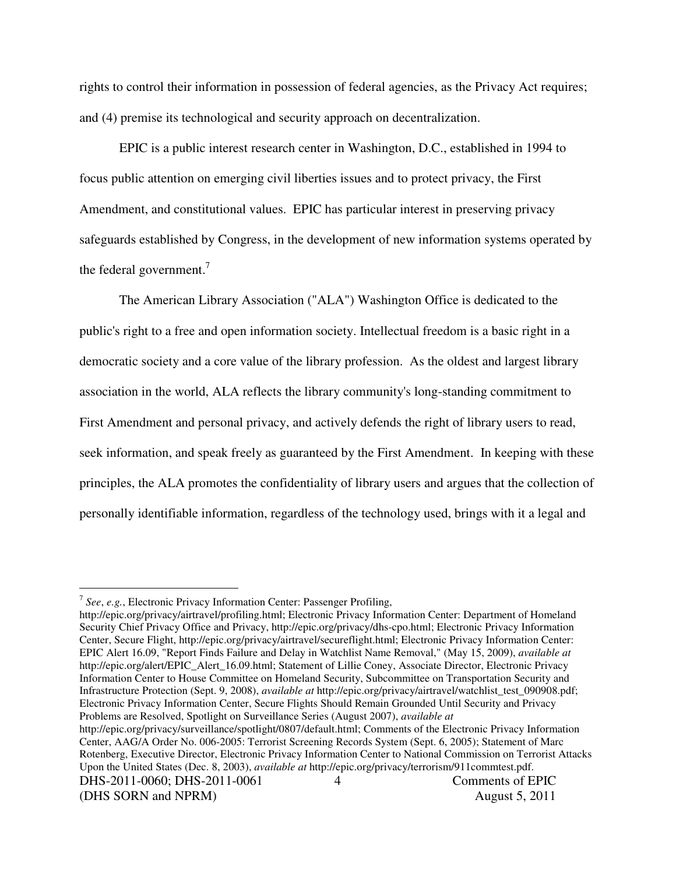rights to control their information in possession of federal agencies, as the Privacy Act requires; and (4) premise its technological and security approach on decentralization.

EPIC is a public interest research center in Washington, D.C., established in 1994 to focus public attention on emerging civil liberties issues and to protect privacy, the First Amendment, and constitutional values. EPIC has particular interest in preserving privacy safeguards established by Congress, in the development of new information systems operated by the federal government.<sup>7</sup>

The American Library Association ("ALA") Washington Office is dedicated to the public's right to a free and open information society. Intellectual freedom is a basic right in a democratic society and a core value of the library profession. As the oldest and largest library association in the world, ALA reflects the library community's long-standing commitment to First Amendment and personal privacy, and actively defends the right of library users to read, seek information, and speak freely as guaranteed by the First Amendment. In keeping with these principles, the ALA promotes the confidentiality of library users and argues that the collection of personally identifiable information, regardless of the technology used, brings with it a legal and

http://epic.org/privacy/airtravel/profiling.html; Electronic Privacy Information Center: Department of Homeland Security Chief Privacy Office and Privacy, http://epic.org/privacy/dhs-cpo.html; Electronic Privacy Information Center, Secure Flight, http://epic.org/privacy/airtravel/secureflight.html; Electronic Privacy Information Center: EPIC Alert 16.09, "Report Finds Failure and Delay in Watchlist Name Removal," (May 15, 2009), *available at*  http://epic.org/alert/EPIC\_Alert\_16.09.html; Statement of Lillie Coney, Associate Director, Electronic Privacy Information Center to House Committee on Homeland Security, Subcommittee on Transportation Security and Infrastructure Protection (Sept. 9, 2008), *available at* http://epic.org/privacy/airtravel/watchlist\_test\_090908.pdf; Electronic Privacy Information Center, Secure Flights Should Remain Grounded Until Security and Privacy Problems are Resolved, Spotlight on Surveillance Series (August 2007), *available at*

 $\overline{a}$ 

<sup>7</sup> *See*, *e.g.*, Electronic Privacy Information Center: Passenger Profiling,

<sup>4</sup> http://epic.org/privacy/surveillance/spotlight/0807/default.html; Comments of the Electronic Privacy Information Center, AAG/A Order No. 006-2005: Terrorist Screening Records System (Sept. 6, 2005); Statement of Marc Rotenberg, Executive Director, Electronic Privacy Information Center to National Commission on Terrorist Attacks Upon the United States (Dec. 8, 2003), *available at* http://epic.org/privacy/terrorism/911commtest.pdf.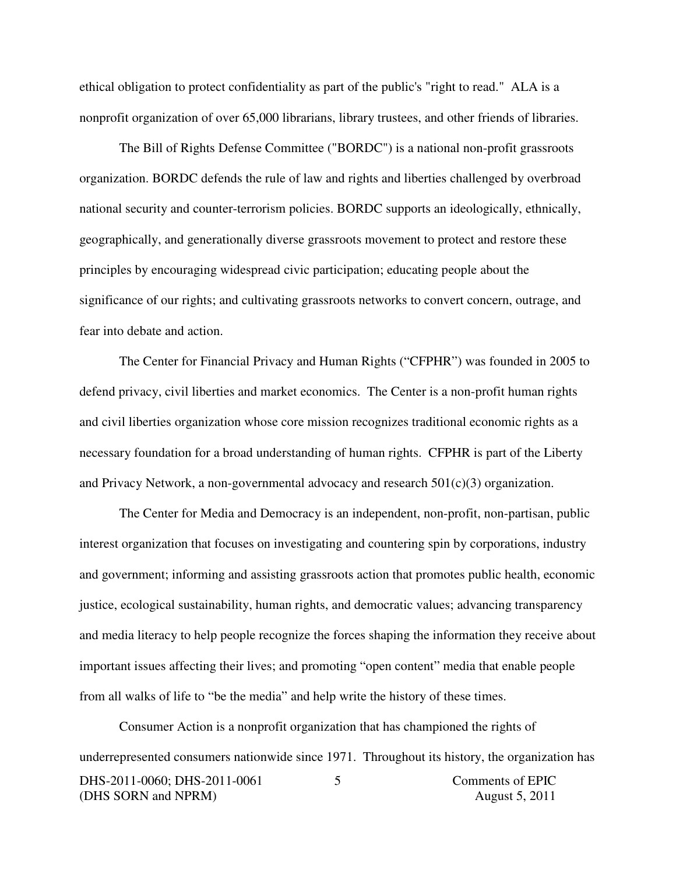ethical obligation to protect confidentiality as part of the public's "right to read." ALA is a nonprofit organization of over 65,000 librarians, library trustees, and other friends of libraries.

The Bill of Rights Defense Committee ("BORDC") is a national non-profit grassroots organization. BORDC defends the rule of law and rights and liberties challenged by overbroad national security and counter-terrorism policies. BORDC supports an ideologically, ethnically, geographically, and generationally diverse grassroots movement to protect and restore these principles by encouraging widespread civic participation; educating people about the significance of our rights; and cultivating grassroots networks to convert concern, outrage, and fear into debate and action.

The Center for Financial Privacy and Human Rights ("CFPHR") was founded in 2005 to defend privacy, civil liberties and market economics. The Center is a non-profit human rights and civil liberties organization whose core mission recognizes traditional economic rights as a necessary foundation for a broad understanding of human rights. CFPHR is part of the Liberty and Privacy Network, a non-governmental advocacy and research  $501(c)(3)$  organization.

The Center for Media and Democracy is an independent, non-profit, non-partisan, public interest organization that focuses on investigating and countering spin by corporations, industry and government; informing and assisting grassroots action that promotes public health, economic justice, ecological sustainability, human rights, and democratic values; advancing transparency and media literacy to help people recognize the forces shaping the information they receive about important issues affecting their lives; and promoting "open content" media that enable people from all walks of life to "be the media" and help write the history of these times.

DHS-2011-0060; DHS-2011-0061 Comments of EPIC (DHS SORN and NPRM) August 5, 2011 5 Consumer Action is a nonprofit organization that has championed the rights of underrepresented consumers nationwide since 1971. Throughout its history, the organization has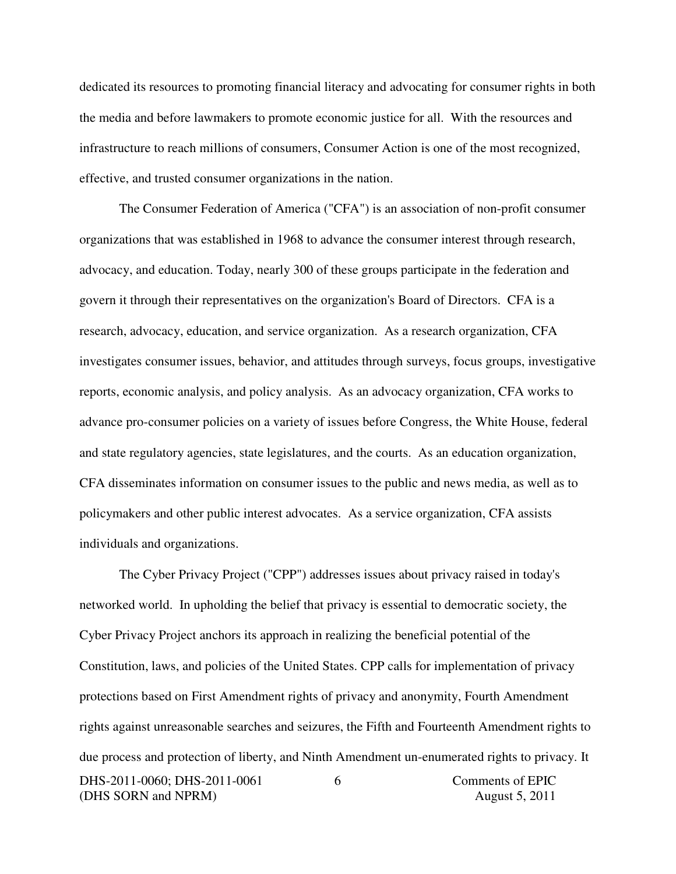dedicated its resources to promoting financial literacy and advocating for consumer rights in both the media and before lawmakers to promote economic justice for all. With the resources and infrastructure to reach millions of consumers, Consumer Action is one of the most recognized, effective, and trusted consumer organizations in the nation.

The Consumer Federation of America ("CFA") is an association of non-profit consumer organizations that was established in 1968 to advance the consumer interest through research, advocacy, and education. Today, nearly 300 of these groups participate in the federation and govern it through their representatives on the organization's Board of Directors. CFA is a research, advocacy, education, and service organization. As a research organization, CFA investigates consumer issues, behavior, and attitudes through surveys, focus groups, investigative reports, economic analysis, and policy analysis. As an advocacy organization, CFA works to advance pro-consumer policies on a variety of issues before Congress, the White House, federal and state regulatory agencies, state legislatures, and the courts. As an education organization, CFA disseminates information on consumer issues to the public and news media, as well as to policymakers and other public interest advocates. As a service organization, CFA assists individuals and organizations.

DHS-2011-0060; DHS-2011-0061 Comments of EPIC (DHS SORN and NPRM) August 5, 2011 6 The Cyber Privacy Project ("CPP") addresses issues about privacy raised in today's networked world. In upholding the belief that privacy is essential to democratic society, the Cyber Privacy Project anchors its approach in realizing the beneficial potential of the Constitution, laws, and policies of the United States. CPP calls for implementation of privacy protections based on First Amendment rights of privacy and anonymity, Fourth Amendment rights against unreasonable searches and seizures, the Fifth and Fourteenth Amendment rights to due process and protection of liberty, and Ninth Amendment un-enumerated rights to privacy. It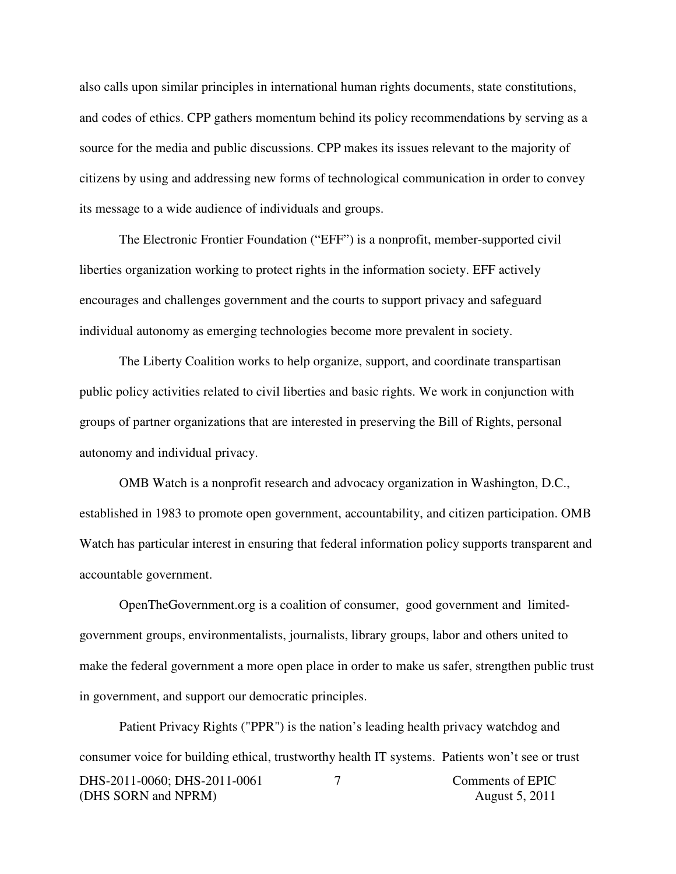also calls upon similar principles in international human rights documents, state constitutions, and codes of ethics. CPP gathers momentum behind its policy recommendations by serving as a source for the media and public discussions. CPP makes its issues relevant to the majority of citizens by using and addressing new forms of technological communication in order to convey its message to a wide audience of individuals and groups.

The Electronic Frontier Foundation ("EFF") is a nonprofit, member-supported civil liberties organization working to protect rights in the information society. EFF actively encourages and challenges government and the courts to support privacy and safeguard individual autonomy as emerging technologies become more prevalent in society.

The Liberty Coalition works to help organize, support, and coordinate transpartisan public policy activities related to civil liberties and basic rights. We work in conjunction with groups of partner organizations that are interested in preserving the Bill of Rights, personal autonomy and individual privacy.

OMB Watch is a nonprofit research and advocacy organization in Washington, D.C., established in 1983 to promote open government, accountability, and citizen participation. OMB Watch has particular interest in ensuring that federal information policy supports transparent and accountable government.

OpenTheGovernment.org is a coalition of consumer, good government and limitedgovernment groups, environmentalists, journalists, library groups, labor and others united to make the federal government a more open place in order to make us safer, strengthen public trust in government, and support our democratic principles.

DHS-2011-0060; DHS-2011-0061 Comments of EPIC (DHS SORN and NPRM) August 5, 2011 7 Patient Privacy Rights ("PPR") is the nation's leading health privacy watchdog and consumer voice for building ethical, trustworthy health IT systems. Patients won't see or trust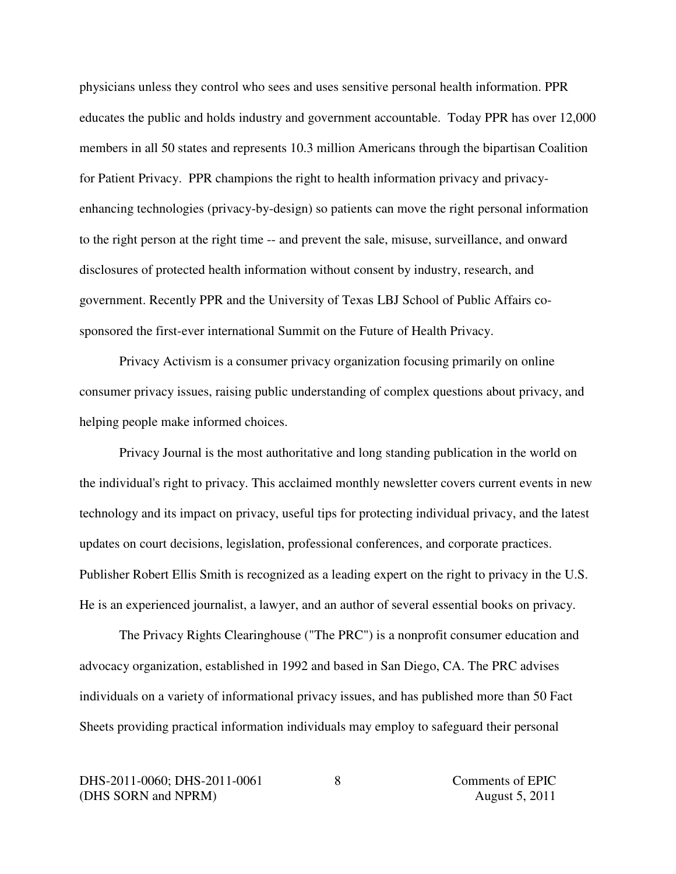physicians unless they control who sees and uses sensitive personal health information. PPR educates the public and holds industry and government accountable. Today PPR has over 12,000 members in all 50 states and represents 10.3 million Americans through the bipartisan Coalition for Patient Privacy. PPR champions the right to health information privacy and privacyenhancing technologies (privacy-by-design) so patients can move the right personal information to the right person at the right time -- and prevent the sale, misuse, surveillance, and onward disclosures of protected health information without consent by industry, research, and government. Recently PPR and the University of Texas LBJ School of Public Affairs cosponsored the first-ever international Summit on the Future of Health Privacy.

Privacy Activism is a consumer privacy organization focusing primarily on online consumer privacy issues, raising public understanding of complex questions about privacy, and helping people make informed choices.

Privacy Journal is the most authoritative and long standing publication in the world on the individual's right to privacy. This acclaimed monthly newsletter covers current events in new technology and its impact on privacy, useful tips for protecting individual privacy, and the latest updates on court decisions, legislation, professional conferences, and corporate practices. Publisher Robert Ellis Smith is recognized as a leading expert on the right to privacy in the U.S. He is an experienced journalist, a lawyer, and an author of several essential books on privacy.

The Privacy Rights Clearinghouse ("The PRC") is a nonprofit consumer education and advocacy organization, established in 1992 and based in San Diego, CA. The PRC advises individuals on a variety of informational privacy issues, and has published more than 50 Fact Sheets providing practical information individuals may employ to safeguard their personal

DHS-2011-0060; DHS-2011-0061 Comments of EPIC (DHS SORN and NPRM) August 5, 2011

8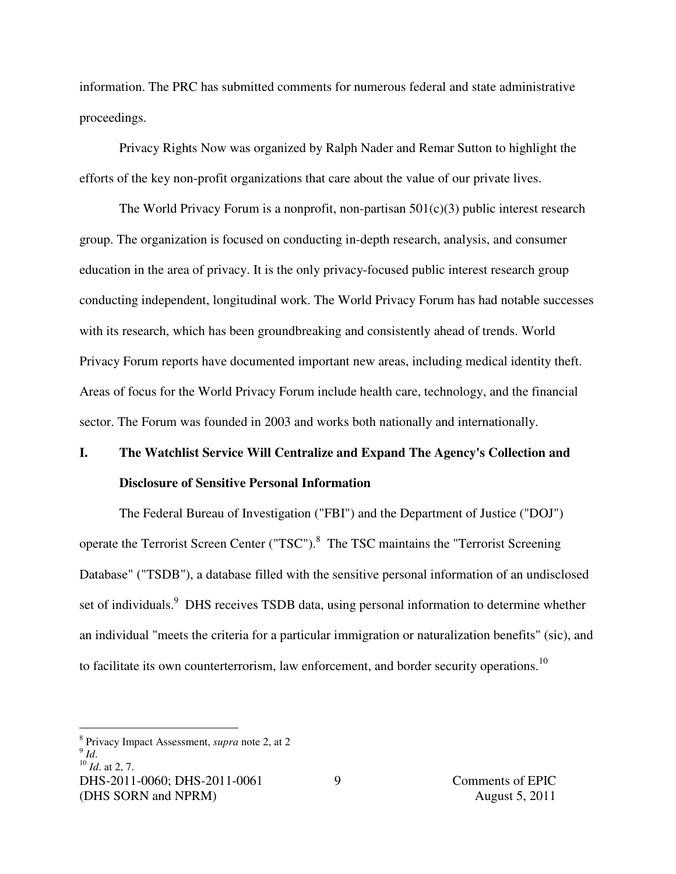information. The PRC has submitted comments for numerous federal and state administrative proceedings.

Privacy Rights Now was organized by Ralph Nader and Remar Sutton to highlight the efforts of the key non-profit organizations that care about the value of our private lives.

The World Privacy Forum is a nonprofit, non-partisan  $501(c)(3)$  public interest research group. The organization is focused on conducting in-depth research, analysis, and consumer education in the area of privacy. It is the only privacy-focused public interest research group conducting independent, longitudinal work. The World Privacy Forum has had notable successes with its research, which has been groundbreaking and consistently ahead of trends. World Privacy Forum reports have documented important new areas, including medical identity theft. Areas of focus for the World Privacy Forum include health care, technology, and the financial sector. The Forum was founded in 2003 and works both nationally and internationally.

# **I. The Watchlist Service Will Centralize and Expand The Agency's Collection and Disclosure of Sensitive Personal Information**

 The Federal Bureau of Investigation ("FBI") and the Department of Justice ("DOJ") operate the Terrorist Screen Center ("TSC").<sup>8</sup> The TSC maintains the "Terrorist Screening Database" ("TSDB"), a database filled with the sensitive personal information of an undisclosed set of individuals.<sup>9</sup> DHS receives TSDB data, using personal information to determine whether an individual "meets the criteria for a particular immigration or naturalization benefits" (sic), and to facilitate its own counterterrorism, law enforcement, and border security operations.<sup>10</sup>

 $\overline{a}$ 

<sup>8</sup> Privacy Impact Assessment, *supra* note 2, at 2

<sup>9</sup> *Id*.

<sup>10</sup> *Id*. at 2, 7.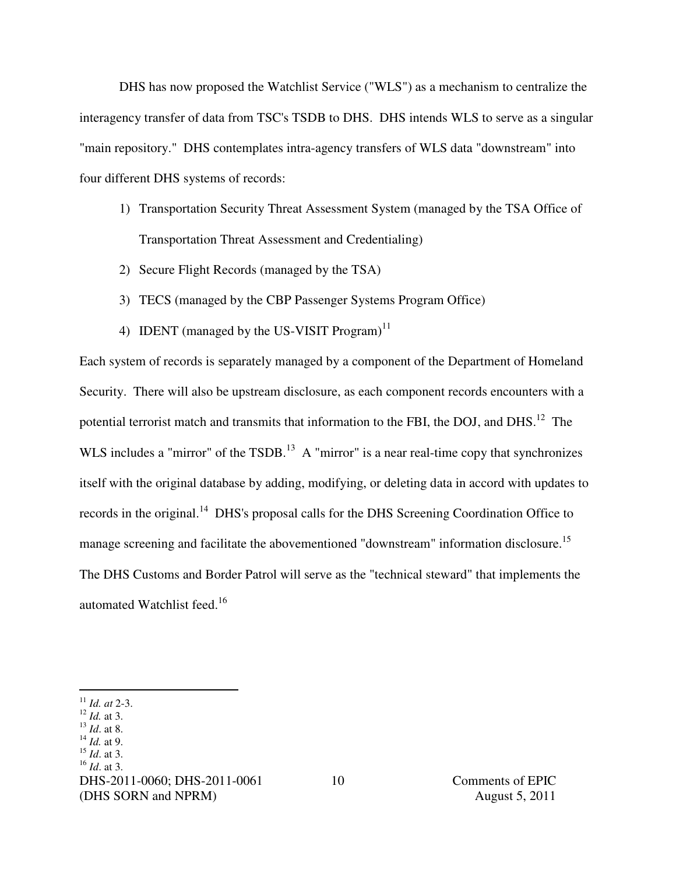DHS has now proposed the Watchlist Service ("WLS") as a mechanism to centralize the interagency transfer of data from TSC's TSDB to DHS. DHS intends WLS to serve as a singular "main repository." DHS contemplates intra-agency transfers of WLS data "downstream" into four different DHS systems of records:

- 1) Transportation Security Threat Assessment System (managed by the TSA Office of Transportation Threat Assessment and Credentialing)
- 2) Secure Flight Records (managed by the TSA)
- 3) TECS (managed by the CBP Passenger Systems Program Office)
- 4) IDENT (managed by the US-VISIT Program)<sup>11</sup>

Each system of records is separately managed by a component of the Department of Homeland Security. There will also be upstream disclosure, as each component records encounters with a potential terrorist match and transmits that information to the FBI, the DOJ, and DHS.<sup>12</sup> The WLS includes a "mirror" of the TSDB.<sup>13</sup> A "mirror" is a near real-time copy that synchronizes itself with the original database by adding, modifying, or deleting data in accord with updates to records in the original.<sup>14</sup> DHS's proposal calls for the DHS Screening Coordination Office to manage screening and facilitate the abovementioned "downstream" information disclosure.<sup>15</sup> The DHS Customs and Border Patrol will serve as the "technical steward" that implements the automated Watchlist feed.<sup>16</sup>

 $\overline{a}$ 

<sup>13</sup> *Id*. at 8.

<sup>15</sup> *Id*. at 3.

<sup>11</sup> *Id. at* 2-3.

<sup>12</sup> *Id.* at 3.

<sup>14</sup> *Id.* at 9.

<sup>16</sup> *Id*. at 3.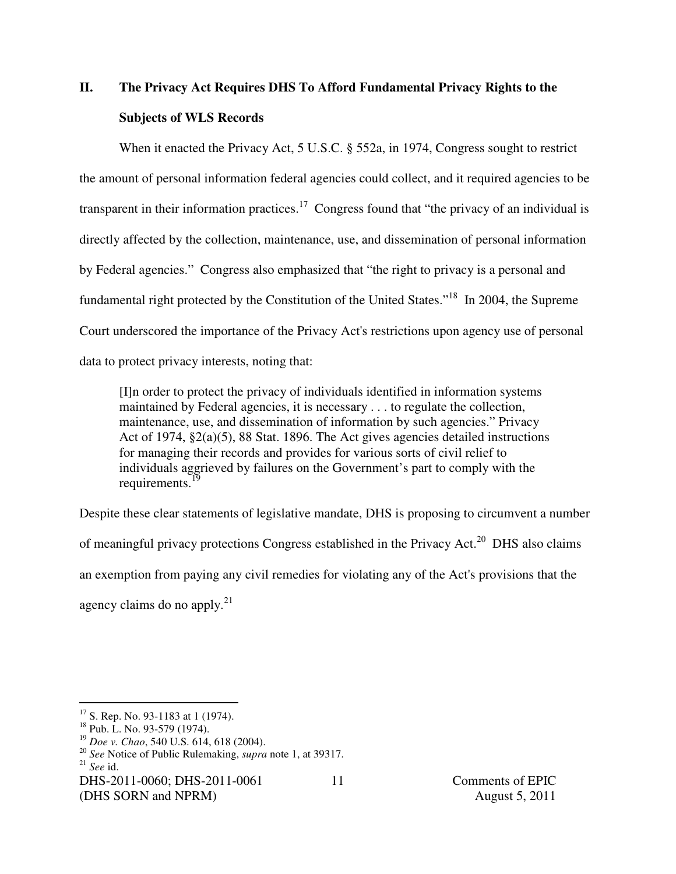# **II. The Privacy Act Requires DHS To Afford Fundamental Privacy Rights to the Subjects of WLS Records**

When it enacted the Privacy Act, 5 U.S.C. § 552a, in 1974, Congress sought to restrict the amount of personal information federal agencies could collect, and it required agencies to be transparent in their information practices.<sup>17</sup> Congress found that "the privacy of an individual is directly affected by the collection, maintenance, use, and dissemination of personal information by Federal agencies." Congress also emphasized that "the right to privacy is a personal and fundamental right protected by the Constitution of the United States."<sup>18</sup> In 2004, the Supreme Court underscored the importance of the Privacy Act's restrictions upon agency use of personal data to protect privacy interests, noting that:

[I]n order to protect the privacy of individuals identified in information systems maintained by Federal agencies, it is necessary . . . to regulate the collection, maintenance, use, and dissemination of information by such agencies." Privacy Act of 1974, §2(a)(5), 88 Stat. 1896. The Act gives agencies detailed instructions for managing their records and provides for various sorts of civil relief to individuals aggrieved by failures on the Government's part to comply with the requirements. $<sup>1</sup>$ </sup>

Despite these clear statements of legislative mandate, DHS is proposing to circumvent a number of meaningful privacy protections Congress established in the Privacy Act.<sup>20</sup> DHS also claims an exemption from paying any civil remedies for violating any of the Act's provisions that the agency claims do no apply. $^{21}$ 

11

 $\overline{a}$ 

 $17$  S. Rep. No. 93-1183 at 1 (1974).

<sup>&</sup>lt;sup>18</sup> Pub. L. No. 93-579 (1974).

<sup>19</sup> *Doe v. Chao*, 540 U.S. 614, 618 (2004).

<sup>20</sup> *See* Notice of Public Rulemaking, *supra* note 1, at 39317. <sup>21</sup> *See* id.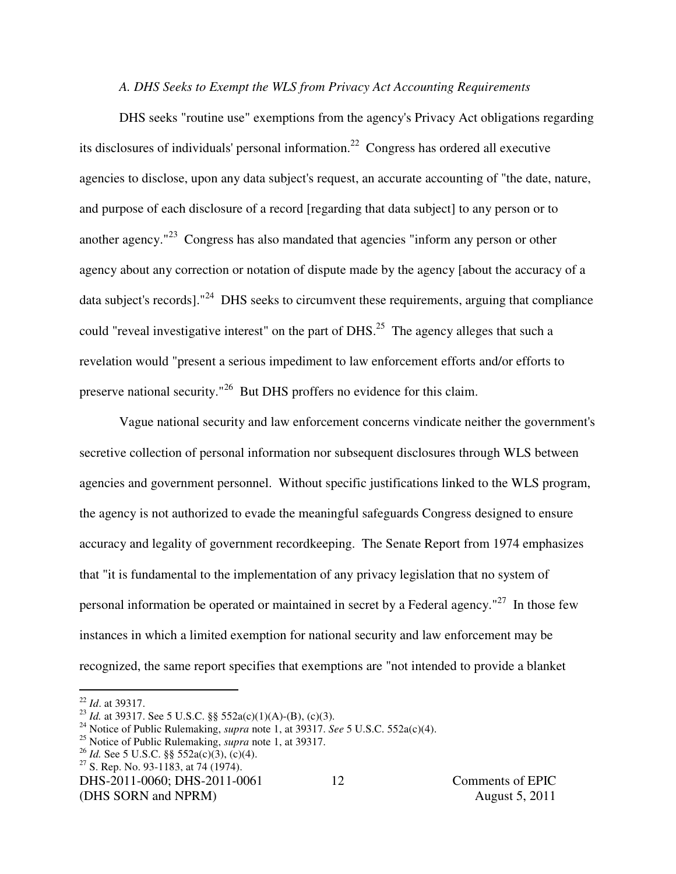### *A. DHS Seeks to Exempt the WLS from Privacy Act Accounting Requirements*

DHS seeks "routine use" exemptions from the agency's Privacy Act obligations regarding its disclosures of individuals' personal information.<sup>22</sup> Congress has ordered all executive agencies to disclose, upon any data subject's request, an accurate accounting of "the date, nature, and purpose of each disclosure of a record [regarding that data subject] to any person or to another agency."<sup>23</sup> Congress has also mandated that agencies "inform any person or other agency about any correction or notation of dispute made by the agency [about the accuracy of a data subject's records]."<sup>24</sup> DHS seeks to circumvent these requirements, arguing that compliance could "reveal investigative interest" on the part of DHS.<sup>25</sup> The agency alleges that such a revelation would "present a serious impediment to law enforcement efforts and/or efforts to preserve national security."<sup>26</sup> But DHS proffers no evidence for this claim.

Vague national security and law enforcement concerns vindicate neither the government's secretive collection of personal information nor subsequent disclosures through WLS between agencies and government personnel. Without specific justifications linked to the WLS program, the agency is not authorized to evade the meaningful safeguards Congress designed to ensure accuracy and legality of government recordkeeping. The Senate Report from 1974 emphasizes that "it is fundamental to the implementation of any privacy legislation that no system of personal information be operated or maintained in secret by a Federal agency."<sup>27</sup> In those few instances in which a limited exemption for national security and law enforcement may be recognized, the same report specifies that exemptions are "not intended to provide a blanket

 $\overline{a}$ 

<sup>26</sup> *Id.* See 5 U.S.C. §§ 552a(c)(3), (c)(4).

<sup>22</sup> *Id*. at 39317.

<sup>23</sup> *Id.* at 39317. See 5 U.S.C. §§ 552a(c)(1)(A)-(B), (c)(3).

<sup>24</sup> Notice of Public Rulemaking, *supra* note 1, at 39317. *See* 5 U.S.C. 552a(c)(4).

<sup>25</sup> Notice of Public Rulemaking, *supra* note 1, at 39317.

 $27$  S. Rep. No. 93-1183, at 74 (1974).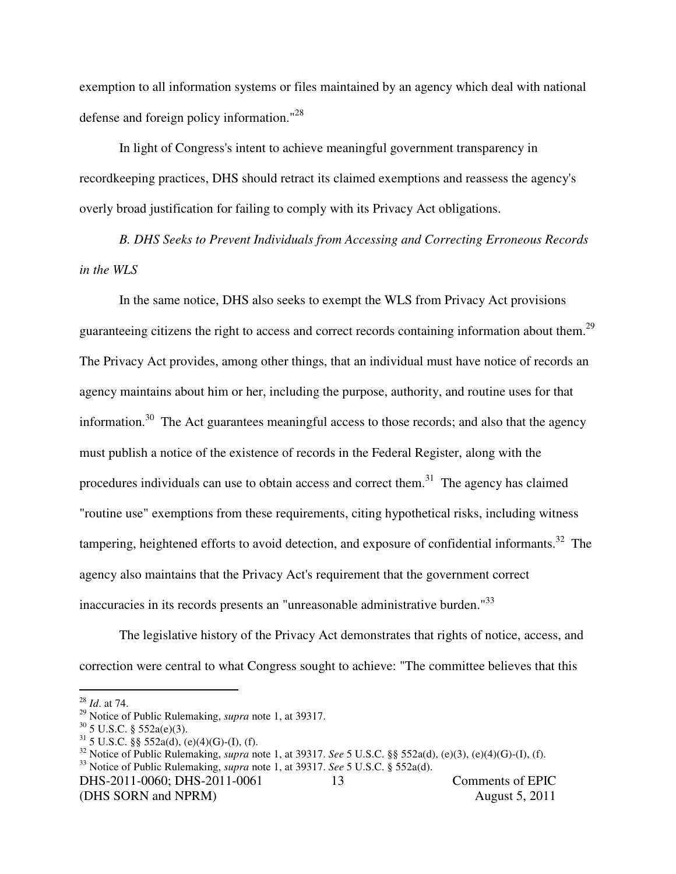exemption to all information systems or files maintained by an agency which deal with national defense and foreign policy information."<sup>28</sup>

In light of Congress's intent to achieve meaningful government transparency in recordkeeping practices, DHS should retract its claimed exemptions and reassess the agency's overly broad justification for failing to comply with its Privacy Act obligations.

*B. DHS Seeks to Prevent Individuals from Accessing and Correcting Erroneous Records in the WLS* 

In the same notice, DHS also seeks to exempt the WLS from Privacy Act provisions guaranteeing citizens the right to access and correct records containing information about them.<sup>29</sup> The Privacy Act provides, among other things, that an individual must have notice of records an agency maintains about him or her, including the purpose, authority, and routine uses for that information.<sup>30</sup> The Act guarantees meaningful access to those records; and also that the agency must publish a notice of the existence of records in the Federal Register, along with the procedures individuals can use to obtain access and correct them.<sup>31</sup> The agency has claimed "routine use" exemptions from these requirements, citing hypothetical risks, including witness tampering, heightened efforts to avoid detection, and exposure of confidential informants.<sup>32</sup> The agency also maintains that the Privacy Act's requirement that the government correct inaccuracies in its records presents an "unreasonable administrative burden."<sup>33</sup>

The legislative history of the Privacy Act demonstrates that rights of notice, access, and correction were central to what Congress sought to achieve: "The committee believes that this

 $\overline{a}$ 

<sup>28</sup> *Id*. at 74.

<sup>29</sup> Notice of Public Rulemaking, *supra* note 1, at 39317.

 $30$  5 U.S.C. § 552a(e)(3).

 $31\,$  5 U.S.C. §§ 552a(d), (e)(4)(G)-(I), (f).

<sup>32</sup> Notice of Public Rulemaking, *supra* note 1, at 39317. *See* 5 U.S.C. §§ 552a(d), (e)(3), (e)(4)(G)-(I), (f). <sup>33</sup> Notice of Public Rulemaking, *supra* note 1, at 39317. *See* 5 U.S.C. § 552a(d).

DHS-2011-0060; DHS-2011-0061 Comments of EPIC (DHS SORN and NPRM) August 5, 2011 13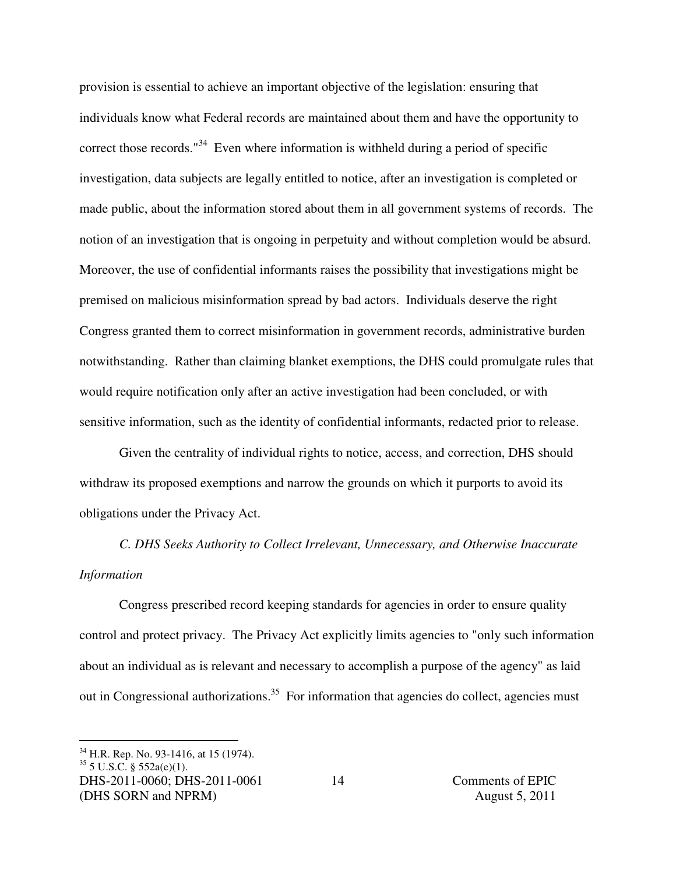provision is essential to achieve an important objective of the legislation: ensuring that individuals know what Federal records are maintained about them and have the opportunity to correct those records."<sup>34</sup> Even where information is withheld during a period of specific investigation, data subjects are legally entitled to notice, after an investigation is completed or made public, about the information stored about them in all government systems of records. The notion of an investigation that is ongoing in perpetuity and without completion would be absurd. Moreover, the use of confidential informants raises the possibility that investigations might be premised on malicious misinformation spread by bad actors. Individuals deserve the right Congress granted them to correct misinformation in government records, administrative burden notwithstanding. Rather than claiming blanket exemptions, the DHS could promulgate rules that would require notification only after an active investigation had been concluded, or with sensitive information, such as the identity of confidential informants, redacted prior to release.

Given the centrality of individual rights to notice, access, and correction, DHS should withdraw its proposed exemptions and narrow the grounds on which it purports to avoid its obligations under the Privacy Act.

*C. DHS Seeks Authority to Collect Irrelevant, Unnecessary, and Otherwise Inaccurate Information* 

Congress prescribed record keeping standards for agencies in order to ensure quality control and protect privacy. The Privacy Act explicitly limits agencies to "only such information about an individual as is relevant and necessary to accomplish a purpose of the agency" as laid out in Congressional authorizations.<sup>35</sup> For information that agencies do collect, agencies must

 $\overline{a}$ 

<sup>&</sup>lt;sup>34</sup> H.R. Rep. No. 93-1416, at 15 (1974).

 $35$  5 U.S.C. § 552a(e)(1).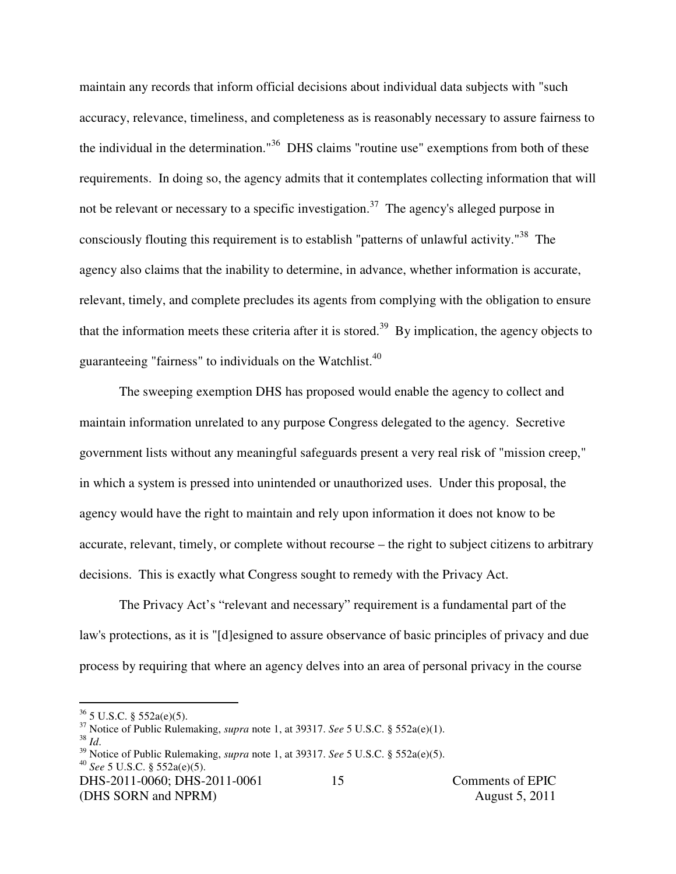maintain any records that inform official decisions about individual data subjects with "such accuracy, relevance, timeliness, and completeness as is reasonably necessary to assure fairness to the individual in the determination."<sup>36</sup> DHS claims "routine use" exemptions from both of these requirements. In doing so, the agency admits that it contemplates collecting information that will not be relevant or necessary to a specific investigation.<sup>37</sup> The agency's alleged purpose in consciously flouting this requirement is to establish "patterns of unlawful activity."<sup>38</sup> The agency also claims that the inability to determine, in advance, whether information is accurate, relevant, timely, and complete precludes its agents from complying with the obligation to ensure that the information meets these criteria after it is stored.<sup>39</sup> By implication, the agency objects to guaranteeing "fairness" to individuals on the Watchlist.<sup>40</sup>

The sweeping exemption DHS has proposed would enable the agency to collect and maintain information unrelated to any purpose Congress delegated to the agency. Secretive government lists without any meaningful safeguards present a very real risk of "mission creep," in which a system is pressed into unintended or unauthorized uses. Under this proposal, the agency would have the right to maintain and rely upon information it does not know to be accurate, relevant, timely, or complete without recourse – the right to subject citizens to arbitrary decisions. This is exactly what Congress sought to remedy with the Privacy Act.

The Privacy Act's "relevant and necessary" requirement is a fundamental part of the law's protections, as it is "[d]esigned to assure observance of basic principles of privacy and due process by requiring that where an agency delves into an area of personal privacy in the course

<sup>38</sup> *Id*.

 $\overline{a}$ 

 $36$  5 U.S.C. § 552a(e)(5).

<sup>37</sup> Notice of Public Rulemaking, *supra* note 1, at 39317. *See* 5 U.S.C. § 552a(e)(1).

<sup>39</sup> Notice of Public Rulemaking, *supra* note 1, at 39317. *See* 5 U.S.C. § 552a(e)(5). <sup>40</sup> *See* 5 U.S.C. § 552a(e)(5).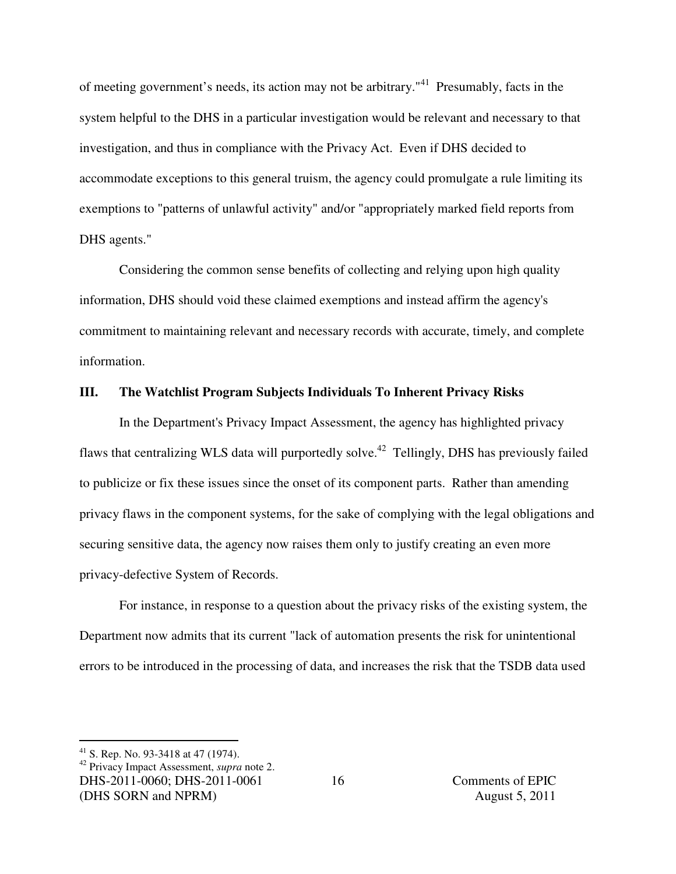of meeting government's needs, its action may not be arbitrary."<sup>41</sup> Presumably, facts in the system helpful to the DHS in a particular investigation would be relevant and necessary to that investigation, and thus in compliance with the Privacy Act. Even if DHS decided to accommodate exceptions to this general truism, the agency could promulgate a rule limiting its exemptions to "patterns of unlawful activity" and/or "appropriately marked field reports from DHS agents."

Considering the common sense benefits of collecting and relying upon high quality information, DHS should void these claimed exemptions and instead affirm the agency's commitment to maintaining relevant and necessary records with accurate, timely, and complete information.

#### **III. The Watchlist Program Subjects Individuals To Inherent Privacy Risks**

In the Department's Privacy Impact Assessment, the agency has highlighted privacy flaws that centralizing WLS data will purportedly solve.<sup>42</sup> Tellingly, DHS has previously failed to publicize or fix these issues since the onset of its component parts. Rather than amending privacy flaws in the component systems, for the sake of complying with the legal obligations and securing sensitive data, the agency now raises them only to justify creating an even more privacy-defective System of Records.

For instance, in response to a question about the privacy risks of the existing system, the Department now admits that its current "lack of automation presents the risk for unintentional errors to be introduced in the processing of data, and increases the risk that the TSDB data used

 $\overline{a}$ 

<sup>&</sup>lt;sup>41</sup> S. Rep. No. 93-3418 at 47 (1974).

DHS-2011-0060; DHS-2011-0061 Comments of EPIC (DHS SORN and NPRM) August 5, 2011 <sup>42</sup> Privacy Impact Assessment, *supra* note 2.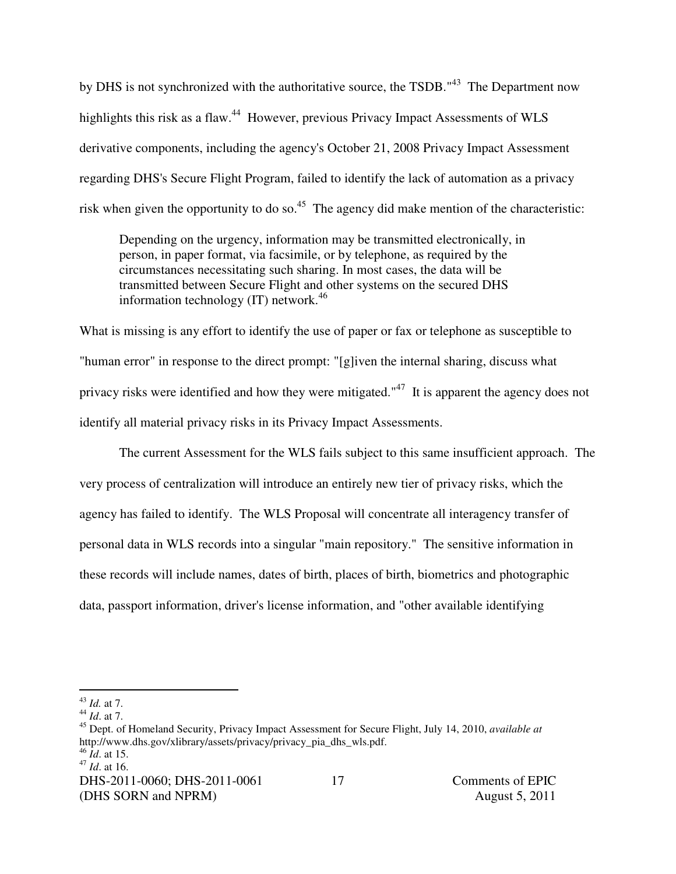by DHS is not synchronized with the authoritative source, the TSDB."<sup>43</sup> The Department now highlights this risk as a flaw.<sup>44</sup> However, previous Privacy Impact Assessments of WLS derivative components, including the agency's October 21, 2008 Privacy Impact Assessment regarding DHS's Secure Flight Program, failed to identify the lack of automation as a privacy risk when given the opportunity to do so.<sup>45</sup> The agency did make mention of the characteristic:

Depending on the urgency, information may be transmitted electronically, in person, in paper format, via facsimile, or by telephone, as required by the circumstances necessitating such sharing. In most cases, the data will be transmitted between Secure Flight and other systems on the secured DHS information technology  $(IT)$  network.<sup>46</sup>

What is missing is any effort to identify the use of paper or fax or telephone as susceptible to "human error" in response to the direct prompt: "[g]iven the internal sharing, discuss what privacy risks were identified and how they were mitigated."<sup>47</sup> It is apparent the agency does not identify all material privacy risks in its Privacy Impact Assessments.

The current Assessment for the WLS fails subject to this same insufficient approach. The very process of centralization will introduce an entirely new tier of privacy risks, which the agency has failed to identify. The WLS Proposal will concentrate all interagency transfer of personal data in WLS records into a singular "main repository." The sensitive information in these records will include names, dates of birth, places of birth, biometrics and photographic data, passport information, driver's license information, and "other available identifying

 $\overline{a}$ <sup>43</sup> *Id.* at 7.

<sup>44</sup> *Id*. at 7.

<sup>45</sup> Dept. of Homeland Security, Privacy Impact Assessment for Secure Flight, July 14, 2010, *available at*  http://www.dhs.gov/xlibrary/assets/privacy/privacy\_pia\_dhs\_wls.pdf. <sup>46</sup> *Id*. at 15.

<sup>47</sup> *Id*. at 16.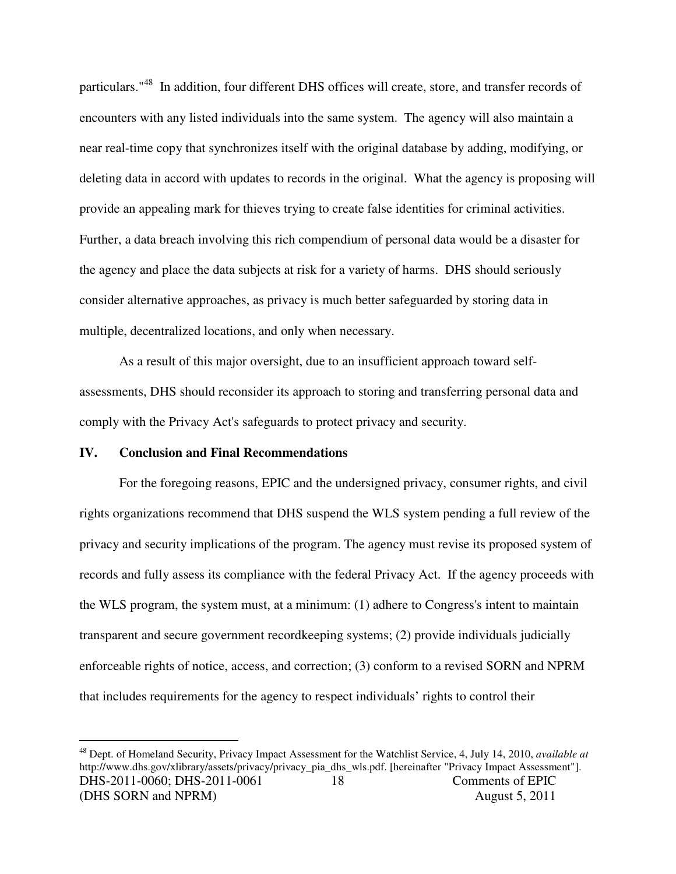particulars."<sup>48</sup> In addition, four different DHS offices will create, store, and transfer records of encounters with any listed individuals into the same system. The agency will also maintain a near real-time copy that synchronizes itself with the original database by adding, modifying, or deleting data in accord with updates to records in the original. What the agency is proposing will provide an appealing mark for thieves trying to create false identities for criminal activities. Further, a data breach involving this rich compendium of personal data would be a disaster for the agency and place the data subjects at risk for a variety of harms. DHS should seriously consider alternative approaches, as privacy is much better safeguarded by storing data in multiple, decentralized locations, and only when necessary.

As a result of this major oversight, due to an insufficient approach toward selfassessments, DHS should reconsider its approach to storing and transferring personal data and comply with the Privacy Act's safeguards to protect privacy and security.

#### **IV. Conclusion and Final Recommendations**

 $\overline{a}$ 

For the foregoing reasons, EPIC and the undersigned privacy, consumer rights, and civil rights organizations recommend that DHS suspend the WLS system pending a full review of the privacy and security implications of the program. The agency must revise its proposed system of records and fully assess its compliance with the federal Privacy Act. If the agency proceeds with the WLS program, the system must, at a minimum: (1) adhere to Congress's intent to maintain transparent and secure government recordkeeping systems; (2) provide individuals judicially enforceable rights of notice, access, and correction; (3) conform to a revised SORN and NPRM that includes requirements for the agency to respect individuals' rights to control their

DHS-2011-0060; DHS-2011-0061 Comments of EPIC (DHS SORN and NPRM) August 5, 2011 18 <sup>48</sup> Dept. of Homeland Security, Privacy Impact Assessment for the Watchlist Service, 4, July 14, 2010, *available at*  http://www.dhs.gov/xlibrary/assets/privacy/privacy\_pia\_dhs\_wls.pdf. [hereinafter "Privacy Impact Assessment"].